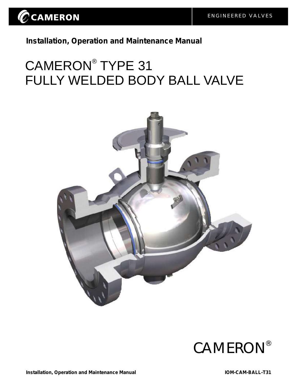

**Installation, Operation and Maintenance Manual**

# CAMERON<sup>®</sup> TYPE 31 FULLY WELDED BODY BALL VALVE



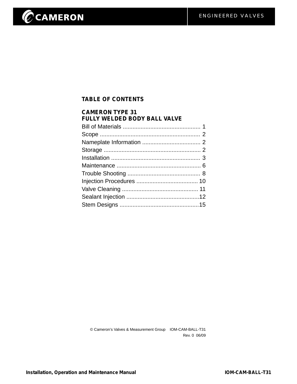# CCAMERON

#### **TABLE OF CONTENTS**

| <b>CAMERON TYPE 31</b><br><b>FULLY WELDED BODY BALL VALVE</b> |  |
|---------------------------------------------------------------|--|
|                                                               |  |
|                                                               |  |
|                                                               |  |
|                                                               |  |
|                                                               |  |
|                                                               |  |
|                                                               |  |
|                                                               |  |
|                                                               |  |
|                                                               |  |
|                                                               |  |

© Cameron's Valves & Measurement Group IOM-CAM-BALL-T31 Rev. 0 06/09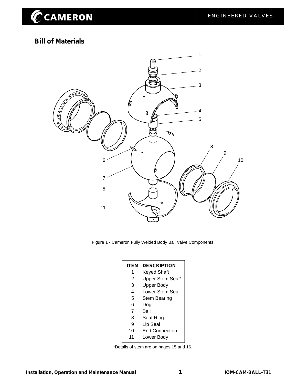#### **Bill of Materials**



Figure 1 - Cameron Fully Welded Body Ball Valve Components.

| ITEM | <b>DESCRIPTION</b>     |
|------|------------------------|
| 1    | Keyed Shaft            |
| 2    | Upper Stem Seal*       |
| 3    | <b>Upper Body</b>      |
| 4    | <b>Lower Stem Seal</b> |
| 5    | Stem Bearing           |
| 6    | Dog                    |
| 7    | Ball                   |
| 8    | Seat Ring              |
| 9    | Lip Seal               |
| 10   | <b>End Connection</b>  |
| 11   | Lower Body             |

\*Details of stem are on pages 15 and 16.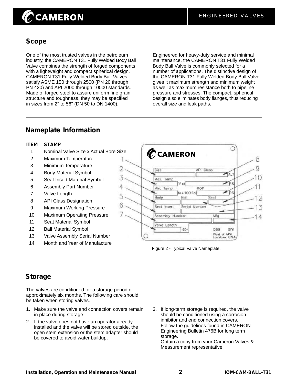## $\oslash$ CAMERON

#### **Scope**

One of the most trusted valves in the petroleum industry, the CAMERON T31 Fully Welded Body Ball Valve combines the strength of forged components with a lightweight and compact spherical design. CAMERON T31 Fully Welded Body Ball Valves satisfy ASME 150 through 2500 (PN 20 through PN 420) and API 2000 through 10000 standards. Made of forged steel to assure uniform fine grain structure and toughness, they may be specified in sizes from 2" to 56" (DN 50 to DN 1400).

Engineered for heavy-duty service and minimal maintenance, the CAMERON T31 Fully Welded Body Ball Valve is commonly selected for a number of applications. The distinctive design of the CAMERON T31 Fully Welded Body Ball Valve gives it maximum strength and minimum weight as well as maximum resistance both to pipeline pressure and stresses. The compact, spherical design also eliminates body flanges, thus reducing overall size and leak paths.

#### **Nameplate Information**

#### **ITEM STAMP**

1 Nominal Valve Size x Actual Bore Size.

Δ

6

- 2 Maximum Temperature
- 3 Minimum Temperature
- 4 Body Material Symbol
- 5 Seat Insert Material Symbol
- 6 Assembly Part Number
- 7 Valve Length
- 8 API Class Designation
- 9 Maximum Working Pressure
- 10 Maximum Operating Pressure
- 11 Seat Material Symbol
- 12 Ball Material Symbol
- 13 Valve Assembly Serial Number
- 14 Month and Year of Manufacture



Figure 2 - Typical Valve Nameplate.

#### **Storage**

The valves are conditioned for a storage period of approximately six months. The following care should be taken when storing valves.

- 1. Make sure the valve end connection covers remain in place during storage.
- 2. If the valve does not have an operator already installed and the valve will be stored outside, the open stem extension or the stem adapter should be covered to avoid water buildup.
- 3. If long-term storage is required, the valve should be conditioned using a corrosion inhibitor and end connection covers. Follow the guidelines found in CAMERON Engineering Bulletin 476B for long term storage.

Obtain a copy from your Cameron Valves & Measurement representative.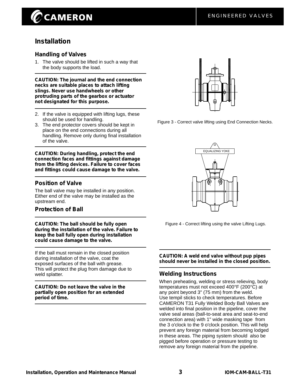## **CAMERON**

#### **Installation**

#### **Handling of Valves**

1. The valve should be lifted in such a way that the body supports the load.

**CAUTION: The journal and the end connection necks are suitable places to attach lifting slings. Never use handwheels or other protruding parts of the gearbox or actuator not designated for this purpose.**

- 2. If the valve is equipped with lifting lugs, these should be used for handling.
- 3. The end protector covers should be kept in place on the end connections during all handling. Remove only during final installation of the valve.

**CAUTION: During handling, protect the end connection faces and fittings against damage from the lifting devices. Failure to cover faces and fittings could cause damage to the valve.**

#### **Position of Valve**

The ball valve may be installed in any position. Either end of the valve may be installed as the upstream end.

#### **Protection of Ball**

**CAUTION: The ball should be fully open during the installation of the valve. Failure to keep the ball fully open during installation could cause damage to the valve.**

If the ball must remain in the closed position during installation of the valve, coat the exposed surfaces of the ball with grease. This will protect the plug from damage due to weld splatter.

**CAUTION: Do not leave the valve in the partially open position for an extended period of time.**



Figure 3 - Correct valve lifting using End Connection Necks.



Figure 4 - Correct lifting using the valve Lifting Lugs.

**CAUTION: A weld end valve without pup pipes should never be installed in the closed position.**

#### **Welding Instructions**

When preheating, welding or stress relieving, body temperatures must not exceed 400°F (200°C) at any point beyond 3" (75 mm) from the weld. Use tempil sticks to check temperatures. Before CAMERON T31 Fully Welded Body Ball Valves are welded into final position in the pipeline, cover the valve seal areas (ball-to-seat area and seat-to-end connection area) with 1" wide masking tape from the 3 o'clock to the 9 o'clock position. This will help prevent any foreign material from becoming lodged in these areas. The piping system should also be pigged before operation or pressure testing to remove any foreign material from the pipeline.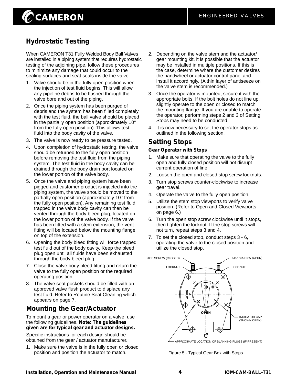### **Hydrostatic Testing**

When CAMERON T31 Fully Welded Body Ball Valves are installed in a piping system that requires hydrostatic testing of the adjoining pipe, follow these procedures to minimize any damage that could occur to the sealing surfaces and seat seals inside the valve.

- 1. Valve should be in the fully open position when the injection of test fluid begins. This will allow any pipeline debris to be flushed through the valve bore and out of the piping.
- 2. Once the piping system has been purged of debris and the system has been filled completely with the test fluid, the ball valve should be placed in the partially open position (approximately 10° from the fully open position). This allows test fluid into the body cavity of the valve.
- 3. The valve is now ready to be pressure tested.
- 4. Upon completion of hydrostatic testing, the valve should be returned to the fully open position before removing the test fluid from the piping system. The test fluid in the body cavity can be drained through the body drain port located on the lower portion of the valve body.
- 5. Once the valve and piping system have been pigged and customer product is injected into the piping system, the valve should be moved to the partially open position (approximately 10° from the fully open position). Any remaining test fluid trapped in the valve body cavity can then be vented through the body bleed plug, located on the lower portion of the valve body. If the valve has been fitted with a stem extension, the vent fitting will be located below the mounting flange on top of the extension.
- 6. Opening the body bleed fitting will force trapped test fluid out of the body cavity. Keep the bleed plug open until all fluids have been exhausted through the body bleed plug.
- 7. Close the valve body bleed fitting and return the valve to the fully open position or the required operating position.
- 8. The valve seat pockets should be filled with an approved valve flush product to displace any test fluid. Refer to Routine Seat Cleaning which appears on page 7.

#### **Mounting the Gear/Actuator**

To mount a gear or power operator on a valve, use the following guidelines. **Note: The guidelines given are for typical gear and actuator designs.**

Specific instructions for each design should be obtained from the gear / actuator manufacturer.

1. Make sure the valve is in the fully open or closed position and position the actuator to match.

- 2. Depending on the valve stem and the actuator/ gear mounting kit, it is possible that the actuator may be installed in multiple positions. If this is the case, determine where the customer desires the handwheel or actuator control panel and install it accordingly. (A thin layer of antiseeze on the valve stem is recommended.)
- 3. Once the operator is mounted, secure it with the appropriate bolts. If the bolt holes do not line up, slightly operate to the open or closed to match the mounting flange. If you are unable to operate the operator, performing steps 2 and 3 of Setting Stops may need to be conducted.
- 4. It is now necessary to set the operator stops as outlined in the following section.

#### **Setting Stops**

#### **Gear Operator with Stops**

- 1. Make sure that operating the valve to the fully open and fully closed position will not disrupt current operation of line.
- 2. Loosen the open and closed stop screw locknuts.
- 3. Turn stop screws counter-clockwise to increase gear travel.
- 4. Operate the valve to the fully open position.
- 5. Utilize the stem stop viewports to verify valve position. (Refer to Open and Closed Viewports on page 6.)
- 6. Turn the open stop screw clockwise until it stops, then tighten the locknut. If the stop screws will not turn, repeat steps 3 and 4.
- 7. To set the closed stop, conduct steps 3 6, operating the valve to the closed position and utilize the closed stop.



- APPROXIMATE LOCATION OF BLANKING PLUGS (IF PRESENT)

Figure 5 - Typical Gear Box with Stops.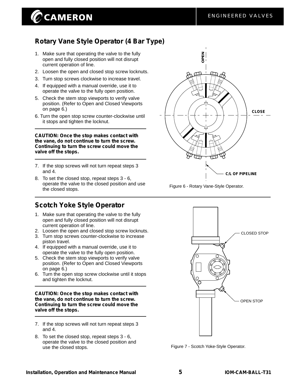## $\oslash$ CAMERON

#### **Rotary Vane Style Operator (4 Bar Type)**

- 1. Make sure that operating the valve to the fully open and fully closed position will not disrupt current operation of line.
- 2. Loosen the open and closed stop screw locknuts.
- 3. Turn stop screws clockwise to increase travel.
- 4. If equipped with a manual override, use it to operate the valve to the fully open position.
- 5. Check the stem stop viewports to verify valve position. (Refer to Open and Closed Viewports on page 6.)
- 6. Turn the open stop screw counter-clockwise until it stops and tighten the locknut.

**CAUTION: Once the stop makes contact with the vane, do not continue to turn the screw. Continuing to turn the screw could move the valve off the stops.**

- 7. If the stop screws will not turn repeat steps 3 and 4.
- 8. To set the closed stop, repeat steps 3 6, operate the valve to the closed position and use the closed stops.

#### **Scotch Yoke Style Operator**

- 1. Make sure that operating the valve to the fully open and fully closed position will not disrupt current operation of line.
- 2. Loosen the open and closed stop screw locknuts.
- 3. Turn stop screws counter-clockwise to increase piston travel.
- 4. If equipped with a manual override, use it to operate the valve to the fully open position.
- 5. Check the stem stop viewports to verify valve position. (Refer to Open and Closed Viewports on page 6.)
- 6. Turn the open stop screw clockwise until it stops and tighten the locknut.

#### **CAUTION: Once the stop makes contact with the vane, do not continue to turn the screw. Continuing to turn the screw could move the valve off the stops.**

- 7. If the stop screws will not turn repeat steps 3 and 4.
- 8. To set the closed stop, repeat steps 3 6, operate the valve to the closed position and use the closed stops.



Figure 6 - Rotary Vane-Style Operator.



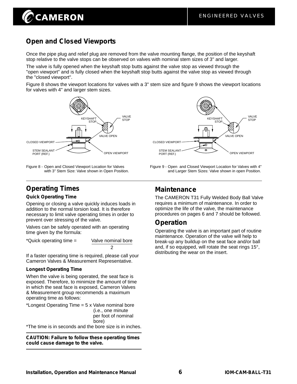# **CAMERON**

### **Open and Closed Viewports**

Once the pipe plug and relief plug are removed from the valve mounting flange, the position of the keyshaft stop relative to the valve stops can be observed on valves with nominal stem sizes of 3" and larger.

The valve is fully opened when the keyshaft stop butts against the valve stop as viewed through the "open viewport" and is fully closed when the keyshaft stop butts against the valve stop as viewed through the "closed viewport".

Figure 8 shows the viewport locations for valves with a 3" stem size and figure 9 shows the viewport locations for valves with 4" and larger stem sizes.



Figure 9 - Open Figure 8 - Open and Closed Viewport Location for Valves and Closed Viewport Location for Valves with 4" with 3" Stem Size: Valve shown in Open Position.



#### **Operating Times**

#### **Quick Operating Time**

Opening or closing a valve quickly induces loads in addition to the normal torsion load. It is therefore necessary to limit valve operating times in order to prevent over stressing of the valve.

Valves can be safely operated with an operating time given by the formula:

\*Quick operating time = Valve nominal bore

If a faster operating time is required, please call your Cameron Valves & Measurement Representative.

2

#### **Longest Operating Time**

When the valve is being operated, the seat face is exposed. Therefore, to minimize the amount of time in which the seat face is exposed, Cameron Valves & Measurement group recommends a maximum operating time as follows:

\*Longest Operating Time = 5 x Valve nominal bore (i.e., one minute per foot of nominal bore) \*The time is in seconds and the bore size is in inches.

**CAUTION: Failure to follow these operating times could cause damage to the valve.**

#### **Maintenance**

The CAMERON T31 Fully Welded Body Ball Valve requires a minimum of maintenance. In order to optimize the life of the valve, the maintenance procedures on pages 6 and 7 should be followed.

and Larger Stem Sizes: Valve shown in open Position.

#### **Operation**

Operating the valve is an important part of routine maintenance. Operation of the valve will help to break-up any buildup on the seat face and/or ball and, if so equipped, will rotate the seat rings 15°, distributing the wear on the insert.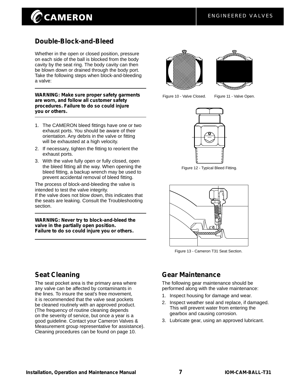## **CAMERON**

#### **Double-Block-and-Bleed**

Whether in the open or closed position, pressure on each side of the ball is blocked from the body cavity by the seat ring. The body cavity can then be blown down or drained through the body port. Take the following steps when block-and-bleeding a valve:

**WARNING: Make sure proper safety garments are worn, and follow all customer safety procedures. Failure to do so could injure you or others.**

- 1. The CAMERON bleed fittings have one or two exhaust ports. You should be aware of their orientation. Any debris in the valve or fitting will be exhausted at a high velocity.
- 2. If necessary, tighten the fitting to reorient the exhaust ports.
- 3. With the valve fully open or fully closed, open the bleed fitting all the way. When opening the bleed fitting, a backup wrench may be used to prevent accidental removal of bleed fitting.

The process of block-and-bleeding the valve is intended to test the valve integrity. If the valve does not blow down, this indicates that

the seats are leaking. Consult the Troubleshooting section.

**WARNING: Never try to block-and-bleed the valve in the partially open position. Failure to do so could injure you or others.**





Figure 10 - Valve Closed. Figure 11 - Valve Open.



Figure 12 - Typical Bleed Fitting.



Figure 13 - Cameron T31 Seat Section.

#### **Seat Cleaning**

The seat pocket area is the primary area where any valve can be affected by contaminants in the lines. To insure the seat's free movement, it is recommended that the valve seat pockets be cleaned routinely with an approved product. (The frequency of routine cleaning depends on the severity of service, but once a year is a good guideline. Contact your Cameron Valves & Measurement group representative for assistance). Cleaning procedures can be found on page 10.

#### **Gear Maintenance**

The following gear maintenance should be performed along with the valve maintenance:

- 1. Inspect housing for damage and wear.
- 2. Inspect weather seal and replace, if damaged. This will prevent water from entering the gearbox and causing corrosion.
- 3. Lubricate gear, using an approved lubricant.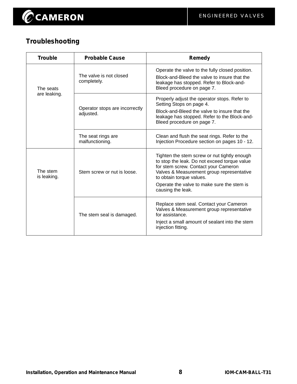

## **Troubleshooting**

| <b>Trouble</b>          | <b>Probable Cause</b><br><b>Remedy</b>      |                                                                                                                                                                                                               |
|-------------------------|---------------------------------------------|---------------------------------------------------------------------------------------------------------------------------------------------------------------------------------------------------------------|
| The seats               | The valve is not closed<br>completely.      | Operate the valve to the fully closed position.<br>Block-and-Bleed the valve to insure that the<br>leakage has stopped. Refer to Block-and-<br>Bleed procedure on page 7.                                     |
| are leaking.            | Operator stops are incorrectly<br>adjusted. | Properly adjust the operator stops. Refer to<br>Setting Stops on page 4.<br>Block-and-Bleed the valve to insure that the<br>leakage has stopped. Refer to the Block-and-<br>Bleed procedure on page 7.        |
|                         | The seat rings are<br>malfunctioning.       | Clean and flush the seat rings. Refer to the<br>Injection Procedure section on pages 10 - 12.                                                                                                                 |
| The stem<br>is leaking. | Stem screw or nut is loose.                 | Tighten the stem screw or nut tightly enough<br>to stop the leak. Do not exceed torque value<br>for stem screw. Contact your Cameron<br>Valves & Measurement group representative<br>to obtain torque values. |
|                         |                                             | Operate the valve to make sure the stem is<br>causing the leak.                                                                                                                                               |
|                         | The stem seal is damaged.                   | Replace stem seal. Contact your Cameron<br>Valves & Measurement group representative<br>for assistance.<br>Inject a small amount of sealant into the stem<br>injection fitting.                               |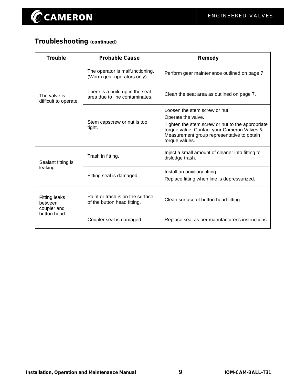## **Troubleshooting (continued)**

| <b>Trouble</b>                                 | <b>Probable Cause</b>                                             | Remedy                                                                                                                                                          |
|------------------------------------------------|-------------------------------------------------------------------|-----------------------------------------------------------------------------------------------------------------------------------------------------------------|
|                                                | The operator is malfunctioning.<br>(Worm gear operators only)     | Perform gear maintenance outlined on page 7.                                                                                                                    |
| The valve is<br>difficult to operate.          | There is a build up in the seat<br>area due to line contaminates. | Clean the seat area as outlined on page 7.                                                                                                                      |
|                                                |                                                                   | Loosen the stem screw or nut.                                                                                                                                   |
|                                                |                                                                   | Operate the valve.                                                                                                                                              |
|                                                | Stem capscrew or nut is too<br>tight.                             | Tighten the stem screw or nut to the appropriate<br>torque value. Contact your Cameron Valves &<br>Measurement group representative to obtain<br>torque values. |
| Sealant fitting is                             | Trash in fitting.                                                 | Inject a small amount of cleaner into fitting to<br>dislodge trash.                                                                                             |
| leaking.                                       |                                                                   | Install an auxiliary fitting.                                                                                                                                   |
|                                                | Fitting seal is damaged.                                          | Replace fitting when line is depressurized.                                                                                                                     |
| <b>Fitting leaks</b><br>between<br>coupler and | Paint or trash is on the surface<br>of the button head fitting.   | Clean surface of button head fitting.                                                                                                                           |
| button head.                                   | Coupler seal is damaged.                                          | Replace seal as per manufacturer's instructions.                                                                                                                |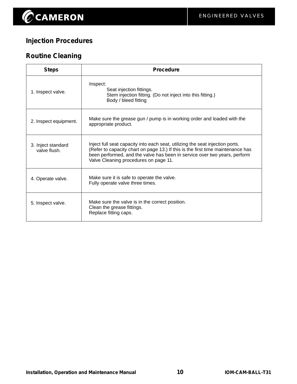## **Injection Procedures**

## **Routine Cleaning**

| <b>Steps</b>                       | <b>Procedure</b>                                                                                                                                                                                                                                                                       |  |
|------------------------------------|----------------------------------------------------------------------------------------------------------------------------------------------------------------------------------------------------------------------------------------------------------------------------------------|--|
| 1. Inspect valve.                  | Inspect:<br>Seat injection fittings.<br>Stem injection fitting. (Do not inject into this fitting.)<br>Body / bleed fitting                                                                                                                                                             |  |
| 2. Inspect equipment.              | Make sure the grease gun / pump is in working order and loaded with the<br>appropriate product.                                                                                                                                                                                        |  |
| 3. Inject standard<br>valve flush. | Inject full seat capacity into each seat, utilizing the seat injection ports.<br>(Refer to capacity chart on page 13.) If this is the first time maintenance has<br>been performed, and the valve has been in service over two years, perform<br>Valve Cleaning procedures on page 11. |  |
| 4. Operate valve.                  | Make sure it is safe to operate the valve.<br>Fully operate valve three times.                                                                                                                                                                                                         |  |
| 5. Inspect valve.                  | Make sure the valve is in the correct position.<br>Clean the grease fittings.<br>Replace fitting caps.                                                                                                                                                                                 |  |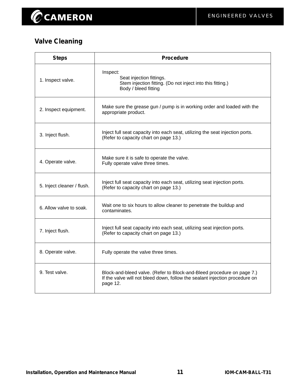## **Valve Cleaning**

| <b>Steps</b>               | <b>Procedure</b>                                                                                                                                                  |
|----------------------------|-------------------------------------------------------------------------------------------------------------------------------------------------------------------|
| 1. Inspect valve.          | Inspect:<br>Seat injection fittings.<br>Stem injection fitting. (Do not inject into this fitting.)<br>Body / bleed fitting                                        |
| 2. Inspect equipment.      | Make sure the grease gun / pump is in working order and loaded with the<br>appropriate product.                                                                   |
| 3. Inject flush.           | Inject full seat capacity into each seat, utilizing the seat injection ports.<br>(Refer to capacity chart on page 13.)                                            |
| 4. Operate valve.          | Make sure it is safe to operate the valve.<br>Fully operate valve three times.                                                                                    |
| 5. Inject cleaner / flush. | Inject full seat capacity into each seat, utilizing seat injection ports.<br>(Refer to capacity chart on page 13.)                                                |
| 6. Allow valve to soak.    | Wait one to six hours to allow cleaner to penetrate the buildup and<br>contaminates.                                                                              |
| 7. Inject flush.           | Inject full seat capacity into each seat, utilizing seat injection ports.<br>(Refer to capacity chart on page 13.)                                                |
| 8. Operate valve.          | Fully operate the valve three times.                                                                                                                              |
| 9. Test valve.             | Block-and-bleed valve. (Refer to Block-and-Bleed procedure on page 7.)<br>If the valve will not bleed down, follow the sealant injection procedure on<br>page 12. |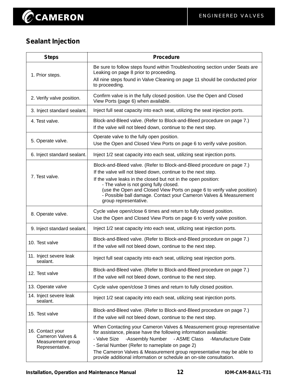## **Sealant Injection**

| <b>Steps</b>                                                                 | <b>Procedure</b>                                                                                                                                                                                                                                                                                                                                                                                                            |
|------------------------------------------------------------------------------|-----------------------------------------------------------------------------------------------------------------------------------------------------------------------------------------------------------------------------------------------------------------------------------------------------------------------------------------------------------------------------------------------------------------------------|
| 1. Prior steps.                                                              | Be sure to follow steps found within Troubleshooting section under Seats are<br>Leaking on page 8 prior to proceeding.<br>All nine steps found in Valve Cleaning on page 11 should be conducted prior<br>to proceeding.                                                                                                                                                                                                     |
| 2. Verify valve position.                                                    | Confirm valve is in the fully closed position. Use the Open and Closed<br>View Ports (page 6) when available.                                                                                                                                                                                                                                                                                                               |
| 3. Inject standard sealant.                                                  | Inject full seat capacity into each seat, utilizing the seat injection ports.                                                                                                                                                                                                                                                                                                                                               |
| 4. Test valve.                                                               | Block-and-Bleed valve. (Refer to Block-and-Bleed procedure on page 7.)<br>If the valve will not bleed down, continue to the next step.                                                                                                                                                                                                                                                                                      |
| 5. Operate valve.                                                            | Operate valve to the fully open position.<br>Use the Open and Closed View Ports on page 6 to verify valve position.                                                                                                                                                                                                                                                                                                         |
| 6. Inject standard sealant.                                                  | Inject 1/2 seat capacity into each seat, utilizing seat injection ports.                                                                                                                                                                                                                                                                                                                                                    |
| 7. Test valve.                                                               | Block-and-Bleed valve. (Refer to Block-and-Bleed procedure on page 7.)<br>If the valve will not bleed down, continue to the next step.<br>If the valve leaks in the closed but not in the open position:<br>- The valve is not going fully closed.<br>(use the Open and Closed View Ports on page 6 to verify valve position)<br>- Possible ball damage. Contact your Cameron Valves & Measurement<br>group representative. |
| 8. Operate valve.                                                            | Cycle valve open/close 6 times and return to fully closed position.<br>Use the Open and Closed View Ports on page 6 to verify valve position.                                                                                                                                                                                                                                                                               |
| 9. Inject standard sealant.                                                  | Inject 1/2 seat capacity into each seat, utilizing seat injection ports.                                                                                                                                                                                                                                                                                                                                                    |
| 10. Test valve                                                               | Block-and-Bleed valve. (Refer to Block-and-Bleed procedure on page 7.)<br>If the valve will not bleed down, continue to the next step.                                                                                                                                                                                                                                                                                      |
| 11. Inject severe leak<br>sealant.                                           | Inject full seat capacity into each seat, utilizing seat injection ports.                                                                                                                                                                                                                                                                                                                                                   |
| 12. Test valve                                                               | Block-and-Bleed valve. (Refer to Block-and-Bleed procedure on page 7.)<br>If the valve will not bleed down, continue to the next step.                                                                                                                                                                                                                                                                                      |
| 13. Operate valve                                                            | Cycle valve open/close 3 times and return to fully closed position.                                                                                                                                                                                                                                                                                                                                                         |
| 14. Inject severe leak<br>sealant.                                           | Inject 1/2 seat capacity into each seat, utilizing seat injection ports.                                                                                                                                                                                                                                                                                                                                                    |
| 15. Test valve                                                               | Block-and-Bleed valve. (Refer to Block-and-Bleed procedure on page 7.)<br>If the valve will not bleed down, continue to the next step.                                                                                                                                                                                                                                                                                      |
| 16. Contact your<br>Cameron Valves &<br>Measurement group<br>Representative. | When Contacting your Cameron Valves & Measurement group representative<br>for assistance, please have the following information available:<br>- Valve Size<br>-Assembly Number<br>- ASME Class<br>-Manufacture Date<br>- Serial Number (Refer to nameplate on page 2)<br>The Cameron Valves & Measurement group representative may be able to<br>provide additional information or schedule an on-site consultation.        |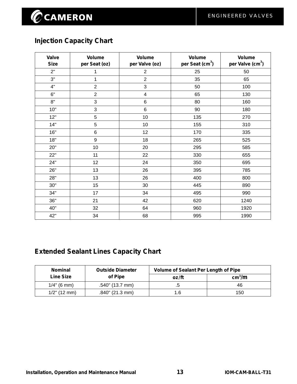## **Injection Capacity Chart**

| <b>Valve</b><br><b>Size</b> | <b>Volume</b><br>per Seat (oz) | <b>Volume</b><br>per Valve (oz) | <b>Volume</b><br>per Seat (cm <sup>3</sup> ) | <b>Volume</b><br>per Valve (cm <sup>3</sup> ) |
|-----------------------------|--------------------------------|---------------------------------|----------------------------------------------|-----------------------------------------------|
| 2"                          | 1                              | $\overline{2}$                  | 25                                           | 50                                            |
| 3"                          | 1                              | $\overline{2}$                  | 35                                           | 65                                            |
| 4"                          | $\overline{2}$                 | 3                               | 50                                           | 100                                           |
| 6"                          | $\overline{2}$                 | $\overline{4}$                  | 65                                           | 130                                           |
| 8"                          | 3                              | 6                               | 80                                           | 160                                           |
| 10"                         | 3                              | $6\phantom{1}$                  | 90                                           | 180                                           |
| 12"                         | 5                              | 10                              | 135                                          | 270                                           |
| 14"                         | 5                              | 10                              | 155                                          | 310                                           |
| 16"                         | 6                              | 12                              | 170                                          | 335                                           |
| 18"                         | 9                              | 18                              | 265                                          | 525                                           |
| 20"                         | 10                             | 20                              | 295                                          | 585                                           |
| 22"                         | 11                             | 22                              | 330                                          | 655                                           |
| 24"                         | 12                             | 24                              | 350                                          | 695                                           |
| 26"                         | 13                             | 26                              | 395                                          | 785                                           |
| 28"                         | 13                             | 26                              | 400                                          | 800                                           |
| 30"                         | 15                             | 30                              | 445                                          | 890                                           |
| 34"                         | 17                             | 34                              | 495                                          | 990                                           |
| 36"                         | 21                             | 42                              | 620                                          | 1240                                          |
| 40"                         | 32                             | 64                              | 960                                          | 1920                                          |
| 42"                         | 34                             | 68                              | 995                                          | 1990                                          |

### **Extended Sealant Lines Capacity Chart**

| <b>Nominal</b>   | <b>Outside Diameter</b>  | Volume of Sealant Per Length of Pipe |                    |
|------------------|--------------------------|--------------------------------------|--------------------|
| <b>Line Size</b> | of Pipe                  | oz/ft                                | cm <sup>3</sup> /m |
| $1/4"$ (6 mm)    | $.540^{\circ}$ (13.7 mm) |                                      | 46                 |
| $1/2$ " (12 mm)  | $.840$ " (21.3 mm)       | l.6                                  | 150                |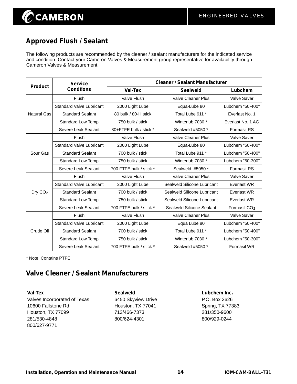## $\oslash$ CAMERON

### **Approved Flush / Sealant**

The following products are recommended by the cleaner / sealant manufacturers for the indicated service and condition. Contact your Cameron Valves & Measurement group representative for availability through Cameron Valves & Measurement.

| <b>Product</b>      | <b>Service</b>                  | <b>Cleaner / Sealant Manufacturer</b> |                             |                          |  |
|---------------------|---------------------------------|---------------------------------------|-----------------------------|--------------------------|--|
|                     | <b>Condtions</b>                | <b>Val-Tex</b>                        | <b>Sealweld</b>             | Lubchem                  |  |
|                     | Flush                           | <b>Valve Flush</b>                    | <b>Valve Cleaner Plus</b>   | <b>Valve Saver</b>       |  |
|                     | <b>Standard Valve Lubricant</b> | 2000 Light Lube                       | Equa-Lube 80                | Lubchem "50-400"         |  |
| <b>Natural Gas</b>  | <b>Standard Sealant</b>         | 80 bulk / 80-H stick                  | Total Lube 911 *            | Everlast No. 1           |  |
|                     | <b>Standard Low Temp</b>        | 750 bulk / stick                      | Winterlub 7030 *            | Everlast No. 1 AG        |  |
|                     | Severe Leak Sealant             | 80+FTFE bulk / stick *                | Sealweld #5050 *            | <b>Formasil RS</b>       |  |
|                     | Flush                           | Valve Flush                           | <b>Valve Cleaner Plus</b>   | Valve Saver              |  |
|                     | <b>Standard Valve Lubricant</b> | 2000 Light Lube                       | Equa-Lube 80                | Lubchem "50-400"         |  |
| Sour Gas            | <b>Standard Sealant</b>         | 700 bulk / stick                      | Total Lube 911 *            | Lubchem "50-400"         |  |
|                     | <b>Standard Low Temp</b>        | 750 bulk / stick                      | Winterlub 7030 *            | Lubchem "50-300"         |  |
|                     | Severe Leak Sealant             | 700 FTFE bulk / stick *               | Sealweld #5050 *            | <b>Formasil RS</b>       |  |
|                     | Flush                           | <b>Valve Flush</b>                    | <b>Valve Cleaner Plus</b>   | <b>Valve Saver</b>       |  |
|                     | <b>Standard Valve Lubricant</b> | 2000 Light Lube                       | Sealweld Silicone Lubricant | <b>Everlast WR</b>       |  |
| Dry CO <sub>2</sub> | <b>Standard Sealant</b>         | 700 bulk / stick                      | Sealweld Silicone Lubricant | <b>Everlast WR</b>       |  |
|                     | <b>Standard Low Temp</b>        | 750 bulk / stick                      | Sealweld Silicone Lubricant | Everlast WR              |  |
|                     | Severe Leak Sealant             | 700 FTFE bulk / stick *               | Sealweld Silicone Sealant   | Formasil CO <sub>2</sub> |  |
|                     | <b>Flush</b>                    | Valve Flush                           | <b>Valve Cleaner Plus</b>   | Valve Saver              |  |
| Crude Oil           | <b>Standard Valve Lubricant</b> | 2000 Light Lube                       | Equa Lube 80                | Lubchem "50-400"         |  |
|                     | <b>Standard Sealant</b>         | 700 bulk / stick                      | Total Lube 911 *            | Lubchem "50-400"         |  |
|                     | <b>Standard Low Temp</b>        | 750 bulk / stick                      | Winterlub 7030 *            | Lubchem "50-300"         |  |
|                     | Severe Leak Sealant             | 700 FTFE bulk / stick *               | Sealweld #5050 *            | <b>Formasil WR</b>       |  |

\* Note: Contains PTFE.

#### **Valve Cleaner / Sealant Manufacturers**

**Val-Tex Sealweld Lubchem Inc.** Valves Incorporated of Texas 6450 Skyview Drive P.O. Box 2626 10600 Fallstone Rd. **Houston, TX 77041** Spring, TX 77383 Houston, TX 77099 713/466-7373 281/350-9600 281/530-4848 800/624-4301 800/929-0244 800/627-9771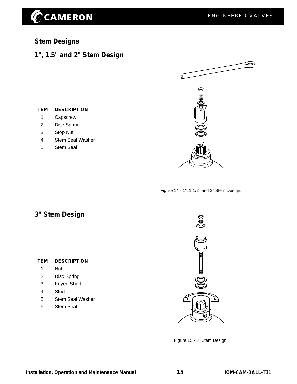## CCAMERON

#### **Stem Designs**

#### **1", 1.5" and 2" Stem Design**



- 1 Capscrew
- 2 Disc Spring
- 3 Stop Nut
- 4 Stem Seal Washer
- 5 Stem Seal



Figure 14 - 1", 1 1/2" and 2" Stem Design.

#### **3" Stem Design**

#### **ITEM DESCRIPTION**

- 1 Nut
- 2 Disc Spring
- 3 Keyed Shaft
- 4 Stud
- 5 Stem Seal Washer
- 6 Stem Seal



Figure 15 - 3" Stem Design.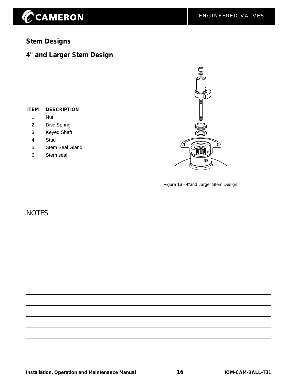# $\widehat{\mathscr{O}}$ CAMERON

### **Stem Designs**

### **4" and Larger Stem Design**

#### **ITEM DESCRIPTION**

- 1 Nut
- 2 Disc Spring
- 3 Keyed Shaft
- 4 Stud
- 5 Stem Seal Gland
- 6 Stem seal



Figure 16 - 4"and Larger Stem Design.

#### **NOTES**

**Installation, Operation and Maintenance Manual 16 IOM-CAM-BALL-T31**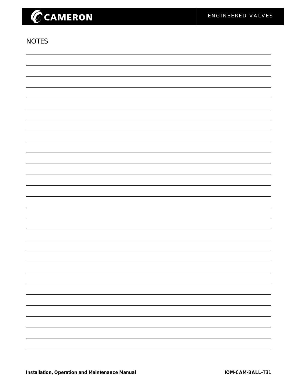# CCAMERON

#### **NOTES**